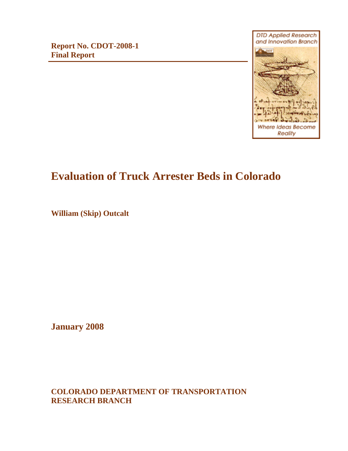**Report No. CDOT-2008-1 Final Report**



# **Evaluation of Truck Arrester Beds in Colorado**

**William (Skip) Outcalt**

**January 2008**

**COLORADO DEPARTMENT OF TRANSPORTATION RESEARCH BRANCH**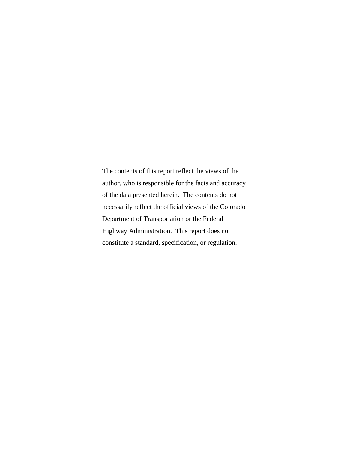The contents of this report reflect the views of the author, who is responsible for the facts and accuracy of the data presented herein. The contents do not necessarily reflect the official views of the Colorado Department of Transportation or the Federal Highway Administration. This report does not constitute a standard, specification, or regulation.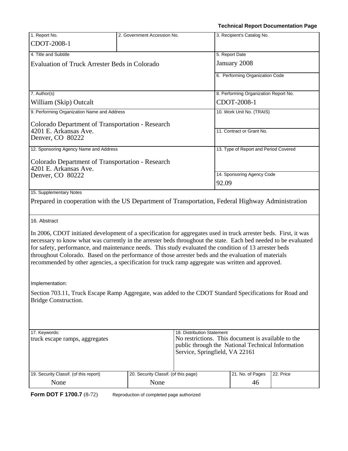21. No. of Pages 46

|                                                                                                                                                                                                                                                                                                                     |                                      |                                                                                                                                           | Technical Report Documentation Page                                                                                                                                                                                                 |  |  |
|---------------------------------------------------------------------------------------------------------------------------------------------------------------------------------------------------------------------------------------------------------------------------------------------------------------------|--------------------------------------|-------------------------------------------------------------------------------------------------------------------------------------------|-------------------------------------------------------------------------------------------------------------------------------------------------------------------------------------------------------------------------------------|--|--|
| 1. Report No.                                                                                                                                                                                                                                                                                                       | 2. Government Accession No.          |                                                                                                                                           | 3. Recipient's Catalog No.                                                                                                                                                                                                          |  |  |
| CDOT-2008-1                                                                                                                                                                                                                                                                                                         |                                      |                                                                                                                                           |                                                                                                                                                                                                                                     |  |  |
| 4. Title and Subtitle                                                                                                                                                                                                                                                                                               |                                      |                                                                                                                                           | 5. Report Date                                                                                                                                                                                                                      |  |  |
| <b>Evaluation of Truck Arrester Beds in Colorado</b>                                                                                                                                                                                                                                                                |                                      |                                                                                                                                           | January 2008                                                                                                                                                                                                                        |  |  |
|                                                                                                                                                                                                                                                                                                                     |                                      |                                                                                                                                           | 6. Performing Organization Code                                                                                                                                                                                                     |  |  |
|                                                                                                                                                                                                                                                                                                                     |                                      |                                                                                                                                           |                                                                                                                                                                                                                                     |  |  |
| 7. Author(s)                                                                                                                                                                                                                                                                                                        |                                      |                                                                                                                                           | 8. Performing Organization Report No.                                                                                                                                                                                               |  |  |
| William (Skip) Outcalt                                                                                                                                                                                                                                                                                              |                                      |                                                                                                                                           | CDOT-2008-1                                                                                                                                                                                                                         |  |  |
| 9. Performing Organization Name and Address                                                                                                                                                                                                                                                                         |                                      |                                                                                                                                           | 10. Work Unit No. (TRAIS)                                                                                                                                                                                                           |  |  |
| <b>Colorado Department of Transportation - Research</b>                                                                                                                                                                                                                                                             |                                      |                                                                                                                                           |                                                                                                                                                                                                                                     |  |  |
| 4201 E. Arkansas Ave.                                                                                                                                                                                                                                                                                               |                                      |                                                                                                                                           | 11. Contract or Grant No.                                                                                                                                                                                                           |  |  |
| Denver, CO 80222                                                                                                                                                                                                                                                                                                    |                                      |                                                                                                                                           |                                                                                                                                                                                                                                     |  |  |
| 12. Sponsoring Agency Name and Address                                                                                                                                                                                                                                                                              |                                      |                                                                                                                                           | 13. Type of Report and Period Covered                                                                                                                                                                                               |  |  |
| <b>Colorado Department of Transportation - Research</b>                                                                                                                                                                                                                                                             |                                      |                                                                                                                                           |                                                                                                                                                                                                                                     |  |  |
| 4201 E. Arkansas Ave.                                                                                                                                                                                                                                                                                               |                                      |                                                                                                                                           |                                                                                                                                                                                                                                     |  |  |
| Denver, CO 80222                                                                                                                                                                                                                                                                                                    |                                      |                                                                                                                                           | 14. Sponsoring Agency Code                                                                                                                                                                                                          |  |  |
|                                                                                                                                                                                                                                                                                                                     |                                      |                                                                                                                                           | 92.09                                                                                                                                                                                                                               |  |  |
| 15. Supplementary Notes                                                                                                                                                                                                                                                                                             |                                      |                                                                                                                                           |                                                                                                                                                                                                                                     |  |  |
|                                                                                                                                                                                                                                                                                                                     |                                      |                                                                                                                                           | Prepared in cooperation with the US Department of Transportation, Federal Highway Administration                                                                                                                                    |  |  |
| 16. Abstract                                                                                                                                                                                                                                                                                                        |                                      |                                                                                                                                           |                                                                                                                                                                                                                                     |  |  |
| for safety, performance, and maintenance needs. This study evaluated the condition of 13 arrester beds<br>throughout Colorado. Based on the performance of those arrester beds and the evaluation of materials<br>recommended by other agencies, a specification for truck ramp aggregate was written and approved. |                                      |                                                                                                                                           | In 2006, CDOT initiated development of a specification for aggregates used in truck arrester beds. First, it was<br>necessary to know what was currently in the arrester beds throughout the state. Each bed needed to be evaluated |  |  |
| Implementation:                                                                                                                                                                                                                                                                                                     |                                      |                                                                                                                                           |                                                                                                                                                                                                                                     |  |  |
| Bridge Construction.                                                                                                                                                                                                                                                                                                |                                      |                                                                                                                                           | Section 703.11, Truck Escape Ramp Aggregate, was added to the CDOT Standard Specifications for Road and                                                                                                                             |  |  |
|                                                                                                                                                                                                                                                                                                                     |                                      |                                                                                                                                           |                                                                                                                                                                                                                                     |  |  |
| 17. Keywords:                                                                                                                                                                                                                                                                                                       |                                      | 18. Distribution Statement                                                                                                                |                                                                                                                                                                                                                                     |  |  |
| truck escape ramps, aggregates                                                                                                                                                                                                                                                                                      |                                      | No restrictions. This document is available to the<br>public through the National Technical Information<br>Service, Springfield, VA 22161 |                                                                                                                                                                                                                                     |  |  |
|                                                                                                                                                                                                                                                                                                                     |                                      |                                                                                                                                           |                                                                                                                                                                                                                                     |  |  |
| 19. Security Classif. (of this report)                                                                                                                                                                                                                                                                              | 20. Security Classif. (of this page) |                                                                                                                                           | 21. No. of Pages<br>22. Price                                                                                                                                                                                                       |  |  |

**Form DOT F 1700.7** (8-72) Reproduction of completed page authorized

None

None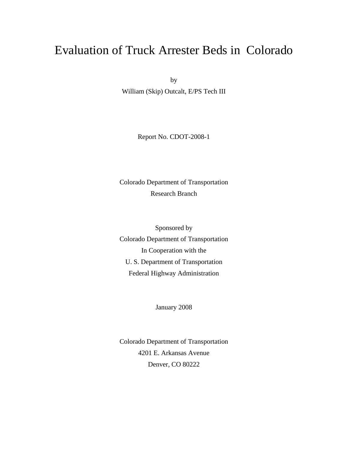# Evaluation of Truck Arrester Beds in Colorado

by

William (Skip) Outcalt, E/PS Tech III

Report No. CDOT-2008-1

Colorado Department of Transportation Research Branch

Sponsored by Colorado Department of Transportation In Cooperation with the U. S. Department of Transportation Federal Highway Administration

January 2008

Colorado Department of Transportation 4201 E. Arkansas Avenue Denver, CO 80222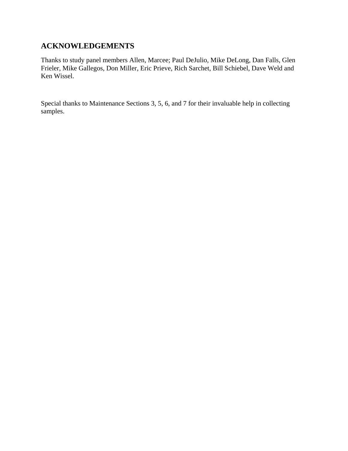# **ACKNOWLEDGEMENTS**

Thanks to study panel members Allen, Marcee; Paul DeJulio, Mike DeLong, Dan Falls, Glen Frieler, Mike Gallegos, Don Miller, Eric Prieve, Rich Sarchet, Bill Schiebel, Dave Weld and Ken Wissel.

Special thanks to Maintenance Sections 3, 5, 6, and 7 for their invaluable help in collecting samples.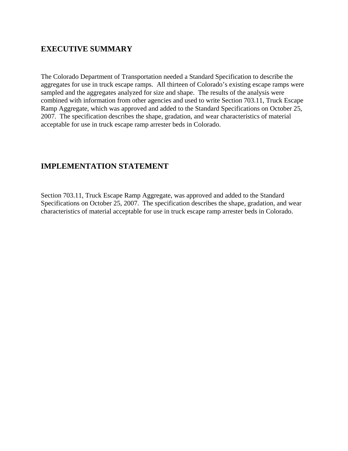# **EXECUTIVE SUMMARY**

The Colorado Department of Transportation needed a Standard Specification to describe the aggregates for use in truck escape ramps. All thirteen of Colorado's existing escape ramps were sampled and the aggregates analyzed for size and shape. The results of the analysis were combined with information from other agencies and used to write Section 703.11, Truck Escape Ramp Aggregate, which was approved and added to the Standard Specifications on October 25, 2007. The specification describes the shape, gradation, and wear characteristics of material acceptable for use in truck escape ramp arrester beds in Colorado.

# **IMPLEMENTATION STATEMENT**

Section 703.11, Truck Escape Ramp Aggregate, was approved and added to the Standard Specifications on October 25, 2007. The specification describes the shape, gradation, and wear characteristics of material acceptable for use in truck escape ramp arrester beds in Colorado.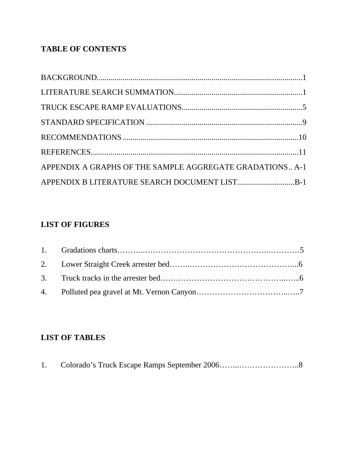# **TABLE OF CONTENTS**

| APPENDIX A GRAPHS OF THE SAMPLE AGGREGATE GRADATIONS A-1 |  |
|----------------------------------------------------------|--|
|                                                          |  |

# **LIST OF FIGURES**

# **LIST OF TABLES**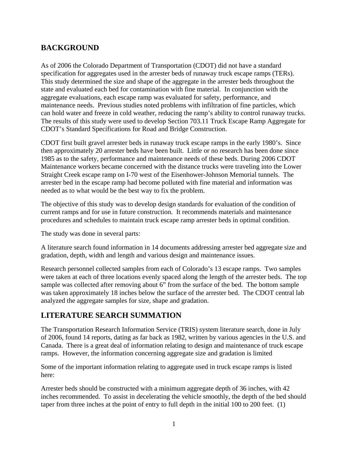# **BACKGROUND**

As of 2006 the Colorado Department of Transportation (CDOT) did not have a standard specification for aggregates used in the arrester beds of runaway truck escape ramps (TERs). This study determined the size and shape of the aggregate in the arrester beds throughout the state and evaluated each bed for contamination with fine material. In conjunction with the aggregate evaluations, each escape ramp was evaluated for safety, performance, and maintenance needs. Previous studies noted problems with infiltration of fine particles, which can hold water and freeze in cold weather, reducing the ramp's ability to control runaway trucks. The results of this study were used to develop Section 703.11 Truck Escape Ramp Aggregate for CDOT's Standard Specifications for Road and Bridge Construction.

CDOT first built gravel arrester beds in runaway truck escape ramps in the early 1980's. Since then approximately 20 arrester beds have been built. Little or no research has been done since 1985 as to the safety, performance and maintenance needs of these beds. During 2006 CDOT Maintenance workers became concerned with the distance trucks were traveling into the Lower Straight Creek escape ramp on I-70 west of the Eisenhower-Johnson Memorial tunnels. The arrester bed in the escape ramp had become polluted with fine material and information was needed as to what would be the best way to fix the problem.

The objective of this study was to develop design standards for evaluation of the condition of current ramps and for use in future construction. It recommends materials and maintenance procedures and schedules to maintain truck escape ramp arrester beds in optimal condition.

The study was done in several parts:

A literature search found information in 14 documents addressing arrester bed aggregate size and gradation, depth, width and length and various design and maintenance issues.

Research personnel collected samples from each of Colorado's 13 escape ramps. Two samples were taken at each of three locations evenly spaced along the length of the arrester beds. The top sample was collected after removing about 6" from the surface of the bed. The bottom sample was taken approximately 18 inches below the surface of the arrester bed. The CDOT central lab analyzed the aggregate samples for size, shape and gradation.

# **LITERATURE SEARCH SUMMATION**

The Transportation Research Information Service (TRIS) system literature search, done in July of 2006, found 14 reports, dating as far back as 1982, written by various agencies in the U.S. and Canada. There is a great deal of information relating to design and maintenance of truck escape ramps. However, the information concerning aggregate size and gradation is limited

Some of the important information relating to aggregate used in truck escape ramps is listed here:

Arrester beds should be constructed with a minimum aggregate depth of 36 inches, with 42 inches recommended. To assist in decelerating the vehicle smoothly, the depth of the bed should taper from three inches at the point of entry to full depth in the initial 100 to 200 feet. (1)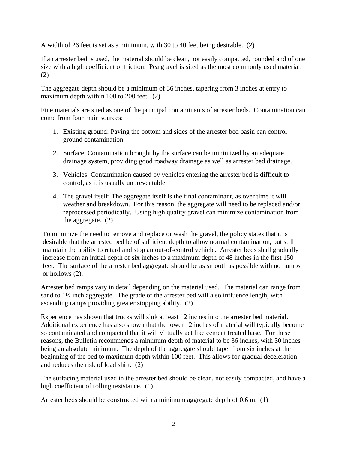A width of 26 feet is set as a minimum, with 30 to 40 feet being desirable. (2)

If an arrester bed is used, the material should be clean, not easily compacted, rounded and of one size with a high coefficient of friction. Pea gravel is sited as the most commonly used material. (2)

The aggregate depth should be a minimum of 36 inches, tapering from 3 inches at entry to maximum depth within 100 to 200 feet. (2).

Fine materials are sited as one of the principal contaminants of arrester beds. Contamination can come from four main sources;

- 1. Existing ground: Paving the bottom and sides of the arrester bed basin can control ground contamination.
- 2. Surface: Contamination brought by the surface can be minimized by an adequate drainage system, providing good roadway drainage as well as arrester bed drainage.
- 3. Vehicles: Contamination caused by vehicles entering the arrester bed is difficult to control, as it is usually unpreventable.
- 4. The gravel itself: The aggregate itself is the final contaminant, as over time it will weather and breakdown. For this reason, the aggregate will need to be replaced and/or reprocessed periodically. Using high quality gravel can minimize contamination from the aggregate. (2)

To minimize the need to remove and replace or wash the gravel, the policy states that it is desirable that the arrested bed be of sufficient depth to allow normal contamination, but still maintain the ability to retard and stop an out-of-control vehicle. Arrester beds shall gradually increase from an initial depth of six inches to a maximum depth of 48 inches in the first 150 feet. The surface of the arrester bed aggregate should be as smooth as possible with no humps or hollows (2).

Arrester bed ramps vary in detail depending on the material used. The material can range from sand to 1½ inch aggregate. The grade of the arrester bed will also influence length, with ascending ramps providing greater stopping ability. (2)

Experience has shown that trucks will sink at least 12 inches into the arrester bed material. Additional experience has also shown that the lower 12 inches of material will typically become so contaminated and compacted that it will virtually act like cement treated base. For these reasons, the Bulletin recommends a minimum depth of material to be 36 inches, with 30 inches being an absolute minimum. The depth of the aggregate should taper from six inches at the beginning of the bed to maximum depth within 100 feet. This allows for gradual deceleration and reduces the risk of load shift. (2)

The surfacing material used in the arrester bed should be clean, not easily compacted, and have a high coefficient of rolling resistance. (1)

Arrester beds should be constructed with a minimum aggregate depth of 0.6 m. (1)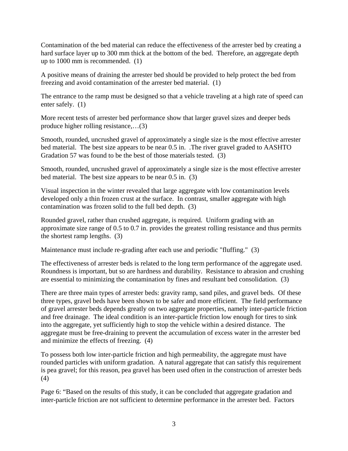Contamination of the bed material can reduce the effectiveness of the arrester bed by creating a hard surface layer up to 300 mm thick at the bottom of the bed. Therefore, an aggregate depth up to 1000 mm is recommended. (1)

A positive means of draining the arrester bed should be provided to help protect the bed from freezing and avoid contamination of the arrester bed material. (1)

The entrance to the ramp must be designed so that a vehicle traveling at a high rate of speed can enter safely. (1)

More recent tests of arrester bed performance show that larger gravel sizes and deeper beds produce higher rolling resistance,…(3)

Smooth, rounded, uncrushed gravel of approximately a single size is the most effective arrester bed material. The best size appears to be near 0.5 in. .The river gravel graded to AASHTO Gradation 57 was found to be the best of those materials tested. (3)

Smooth, rounded, uncrushed gravel of approximately a single size is the most effective arrester bed material. The best size appears to be near 0.5 in. (3)

Visual inspection in the winter revealed that large aggregate with low contamination levels developed only a thin frozen crust at the surface. In contrast, smaller aggregate with high contamination was frozen solid to the full bed depth. (3)

Rounded gravel, rather than crushed aggregate, is required. Uniform grading with an approximate size range of 0.5 to 0.7 in. provides the greatest rolling resistance and thus permits the shortest ramp lengths. (3)

Maintenance must include re-grading after each use and periodic "fluffing." (3)

The effectiveness of arrester beds is related to the long term performance of the aggregate used. Roundness is important, but so are hardness and durability. Resistance to abrasion and crushing are essential to minimizing the contamination by fines and resultant bed consolidation. (3)

There are three main types of arrester beds: gravity ramp, sand piles, and gravel beds. Of these three types, gravel beds have been shown to be safer and more efficient. The field performance of gravel arrester beds depends greatly on two aggregate properties, namely inter-particle friction and free drainage. The ideal condition is an inter-particle friction low enough for tires to sink into the aggregate, yet sufficiently high to stop the vehicle within a desired distance. The aggregate must be free-draining to prevent the accumulation of excess water in the arrester bed and minimize the effects of freezing. (4)

To possess both low inter-particle friction and high permeability, the aggregate must have rounded particles with uniform gradation. A natural aggregate that can satisfy this requirement is pea gravel; for this reason, pea gravel has been used often in the construction of arrester beds (4)

Page 6: "Based on the results of this study, it can be concluded that aggregate gradation and inter-particle friction are not sufficient to determine performance in the arrester bed. Factors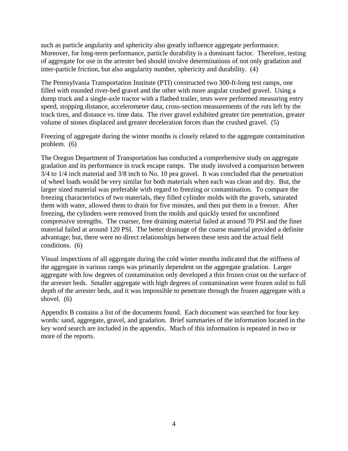such as particle angularity and sphericity also greatly influence aggregate performance. Moreover, for long-term performance, particle durability is a dominant factor. Therefore, testing of aggregate for use in the arrester bed should involve determinations of not only gradation and inter-particle friction, but also angularity number, sphericity and durability. (4)

The Pennsylvania Transportation Institute (PTI) constructed two 300-ft-long test ramps, one filled with rounded river-bed gravel and the other with more angular crushed gravel. Using a dump truck and a single-axle tractor with a flatbed trailer, tests were performed measuring entry speed, stopping distance, accelerometer data, cross-section measurements of the ruts left by the truck tires, and distance vs. time data. The river gravel exhibited greater tire penetration, greater volume of stones displaced and greater deceleration forces than the crushed gravel. (5)

Freezing of aggregate during the winter months is closely related to the aggregate contamination problem. (6)

The Oregon Department of Transportation has conducted a comprehensive study on aggregate gradation and its performance in truck escape ramps. The study involved a comparison between 3/4 to 1/4 inch material and 3/8 inch to No. 10 pea gravel. It was concluded that the penetration of wheel loads would be very similar for both materials when each was clean and dry. But, the larger sized material was preferable with regard to freezing or contamination. To compare the freezing characteristics of two materials, they filled cylinder molds with the gravels, saturated them with water, allowed them to drain for five minutes, and then put them in a freezer. After freezing, the cylinders were removed from the molds and quickly tested for unconfined compressive strengths. The coarser, free draining material failed at around 70 PSI and the finer material failed at around 120 PSI. The better drainage of the coarse material provided a definite advantage; but, there were no direct relationships between these tests and the actual field conditions. (6)

Visual inspections of all aggregate during the cold winter months indicated that the stiffness of the aggregate in various ramps was primarily dependent on the aggregate gradation. Larger aggregate with low degrees of contamination only developed a thin frozen crust on the surface of the arrester beds. Smaller aggregate with high degrees of contamination were frozen solid to full depth of the arrester beds, and it was impossible to penetrate through the frozen aggregate with a shovel. (6)

Appendix B contains a list of the documents found. Each document was searched for four key words: sand, aggregate, gravel, and gradation. Brief summaries of the information located in the key word search are included in the appendix. Much of this information is repeated in two or more of the reports.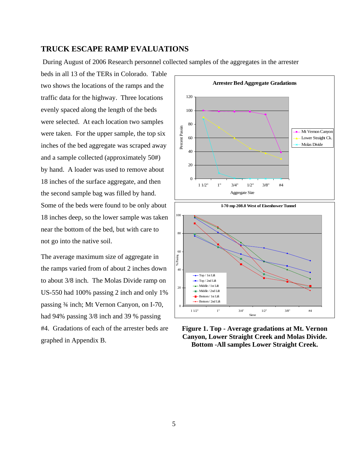#### **TRUCK ESCAPE RAMP EVALUATIONS**

During August of 2006 Research personnel collected samples of the aggregates in the arrester

beds in all 13 of the TERs in Colorado. Table two shows the locations of the ramps and the traffic data for the highway. Three locations evenly spaced along the length of the beds were selected. At each location two samples were taken. For the upper sample, the top six inches of the bed aggregate was scraped away and a sample collected (approximately 50#) by hand. A loader was used to remove about 18 inches of the surface aggregate, and then the second sample bag was filled by hand. Some of the beds were found to be only about 18 inches deep, so the lower sample was taken near the bottom of the bed, but with care to not go into the native soil.

The average maximum size of aggregate in the ramps varied from of about 2 inches down to about 3/8 inch. The Molas Divide ramp on US-550 had 100% passing 2 inch and only 1% passing ¾ inch; Mt Vernon Canyon, on I-70, had 94% passing 3/8 inch and 39 % passing #4. Gradations of each of the arrester beds are graphed in Appendix B.





**Figure 1. Top - Average gradations at Mt. Vernon Canyon, Lower Straight Creek and Molas Divide. Bottom -All samples Lower Straight Creek.**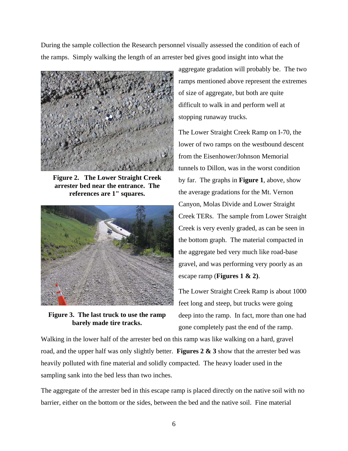During the sample collection the Research personnel visually assessed the condition of each of the ramps. Simply walking the length of an arrester bed gives good insight into what the



**Figure 2. The Lower Straight Creek arrester bed near the entrance. The references are 1" squares.** 



**Figure 3. The last truck to use the ramp barely made tire tracks.** 

aggregate gradation will probably be. The two ramps mentioned above represent the extremes of size of aggregate, but both are quite difficult to walk in and perform well at stopping runaway trucks.

The Lower Straight Creek Ramp on I-70, the lower of two ramps on the westbound descent from the Eisenhower/Johnson Memorial tunnels to Dillon, was in the worst condition by far. The graphs in **Figure 1**, above, show the average gradations for the Mt. Vernon Canyon, Molas Divide and Lower Straight Creek TERs. The sample from Lower Straight Creek is very evenly graded, as can be seen in the bottom graph. The material compacted in the aggregate bed very much like road-base gravel, and was performing very poorly as an escape ramp (**Figures 1 & 2)**.

The Lower Straight Creek Ramp is about 1000 feet long and steep, but trucks were going deep into the ramp. In fact, more than one had gone completely past the end of the ramp.

Walking in the lower half of the arrester bed on this ramp was like walking on a hard, gravel road, and the upper half was only slightly better. **Figures 2 & 3** show that the arrester bed was heavily polluted with fine material and solidly compacted. The heavy loader used in the sampling sank into the bed less than two inches.

The aggregate of the arrester bed in this escape ramp is placed directly on the native soil with no barrier, either on the bottom or the sides, between the bed and the native soil. Fine material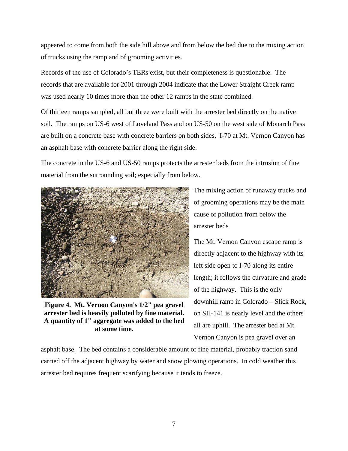appeared to come from both the side hill above and from below the bed due to the mixing action of trucks using the ramp and of grooming activities.

Records of the use of Colorado's TERs exist, but their completeness is questionable. The records that are available for 2001 through 2004 indicate that the Lower Straight Creek ramp was used nearly 10 times more than the other 12 ramps in the state combined.

Of thirteen ramps sampled, all but three were built with the arrester bed directly on the native soil. The ramps on US-6 west of Loveland Pass and on US-50 on the west side of Monarch Pass are built on a concrete base with concrete barriers on both sides. I-70 at Mt. Vernon Canyon has an asphalt base with concrete barrier along the right side.

The concrete in the US-6 and US-50 ramps protects the arrester beds from the intrusion of fine material from the surrounding soil; especially from below.



**Figure 4. Mt. Vernon Canyon's 1/2" pea gravel arrester bed is heavily polluted by fine material. A quantity of 1" aggregate was added to the bed at some time.** 

The mixing action of runaway trucks and of grooming operations may be the main cause of pollution from below the arrester beds

The Mt. Vernon Canyon escape ramp is directly adjacent to the highway with its left side open to I-70 along its entire length; it follows the curvature and grade of the highway. This is the only downhill ramp in Colorado – Slick Rock, on SH-141 is nearly level and the others all are uphill. The arrester bed at Mt. Vernon Canyon is pea gravel over an

asphalt base. The bed contains a considerable amount of fine material, probably traction sand carried off the adjacent highway by water and snow plowing operations. In cold weather this arrester bed requires frequent scarifying because it tends to freeze.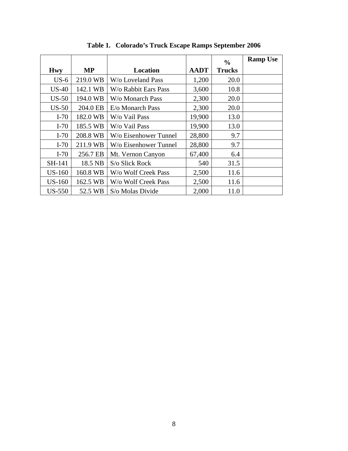|               |           |                       |             | $\frac{6}{9}$ | <b>Ramp Use</b> |
|---------------|-----------|-----------------------|-------------|---------------|-----------------|
| <b>Hwy</b>    | <b>MP</b> | Location              | <b>AADT</b> | <b>Trucks</b> |                 |
| $US-6$        | 219.0 WB  | W/o Loveland Pass     | 1,200       | 20.0          |                 |
| $US-40$       | 142.1 WB  | W/o Rabbit Ears Pass  | 3,600       | 10.8          |                 |
| $US-50$       | 194.0 WB  | W/o Monarch Pass      | 2,300       | 20.0          |                 |
| $US-50$       | 204.0 EB  | E/o Monarch Pass      | 2,300       | 20.0          |                 |
| $I-70$        | 182.0 WB  | W/o Vail Pass         | 19,900      | 13.0          |                 |
| $I-70$        | 185.5 WB  | W/o Vail Pass         | 19,900      | 13.0          |                 |
| $I-70$        | 208.8 WB  | W/o Eisenhower Tunnel | 28,800      | 9.7           |                 |
| $I-70$        | 211.9 WB  | W/o Eisenhower Tunnel | 28,800      | 9.7           |                 |
| $I-70$        | 256.7 EB  | Mt. Vernon Canyon     | 67,400      | 6.4           |                 |
| SH-141        | 18.5 NB   | S/o Slick Rock        | 540         | 31.5          |                 |
| <b>US-160</b> | 160.8 WB  | W/o Wolf Creek Pass   | 2,500       | 11.6          |                 |
| <b>US-160</b> | 162.5 WB  | W/o Wolf Creek Pass   | 2,500       | 11.6          |                 |
| <b>US-550</b> | 52.5 WB   | S/o Molas Divide      | 2,000       | 11.0          |                 |

**Table 1. Colorado's Truck Escape Ramps September 2006**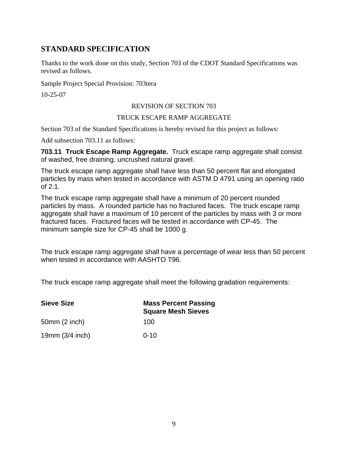# **STANDARD SPECIFICATION**

Thanks to the work done on this study, Section 703 of the CDOT Standard Specifications was revised as follows.

Sample Project Special Provision: 703tera

10-25-07

### REVISION OF SECTION 703

#### TRUCK ESCAPE RAMP AGGREGATE

Section 703 of the Standard Specifications is hereby revised for this project as follows:

Add subsection 703.11 as follows:

**703.11 Truck Escape Ramp Aggregate.** Truck escape ramp aggregate shall consist of washed, free draining, uncrushed natural gravel.

The truck escape ramp aggregate shall have less than 50 percent flat and elongated particles by mass when tested in accordance with ASTM D 4791 using an opening ratio of 2:1.

The truck escape ramp aggregate shall have a minimum of 20 percent rounded particles by mass. A rounded particle has no fractured faces. The truck escape ramp aggregate shall have a maximum of 10 percent of the particles by mass with 3 or more fractured faces. Fractured faces will be tested in accordance with CP-45. The minimum sample size for CP-45 shall be 1000 g.

The truck escape ramp aggregate shall have a percentage of wear less than 50 percent when tested in accordance with AASHTO T96.

The truck escape ramp aggregate shall meet the following gradation requirements:

| <b>Sieve Size</b> | <b>Mass Percent Passing</b><br><b>Square Mesh Sieves</b> |
|-------------------|----------------------------------------------------------|
| 50mm(2 inch)      | 100                                                      |
| 19 $mm(3/4$ inch) | $0 - 10$                                                 |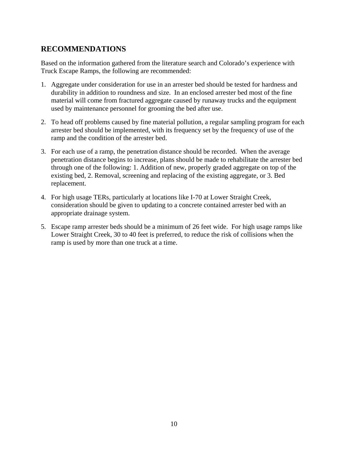# **RECOMMENDATIONS**

Based on the information gathered from the literature search and Colorado's experience with Truck Escape Ramps, the following are recommended:

- 1. Aggregate under consideration for use in an arrester bed should be tested for hardness and durability in addition to roundness and size. In an enclosed arrester bed most of the fine material will come from fractured aggregate caused by runaway trucks and the equipment used by maintenance personnel for grooming the bed after use.
- 2. To head off problems caused by fine material pollution, a regular sampling program for each arrester bed should be implemented, with its frequency set by the frequency of use of the ramp and the condition of the arrester bed.
- 3. For each use of a ramp, the penetration distance should be recorded. When the average penetration distance begins to increase, plans should be made to rehabilitate the arrester bed through one of the following: 1. Addition of new, properly graded aggregate on top of the existing bed, 2. Removal, screening and replacing of the existing aggregate, or 3. Bed replacement.
- 4. For high usage TERs, particularly at locations like I-70 at Lower Straight Creek, consideration should be given to updating to a concrete contained arrester bed with an appropriate drainage system.
- 5. Escape ramp arrester beds should be a minimum of 26 feet wide. For high usage ramps like Lower Straight Creek, 30 to 40 feet is preferred, to reduce the risk of collisions when the ramp is used by more than one truck at a time.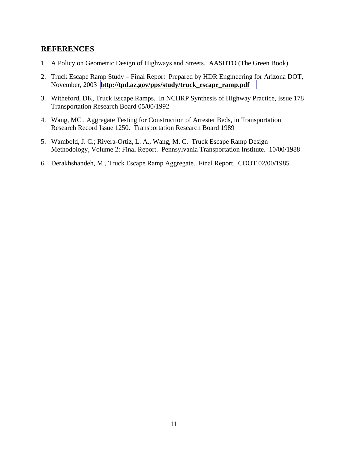# **REFERENCES**

- 1. A Policy on Geometric Design of Highways and Streets. AASHTO (The Green Book)
- 2. Truck Escape Ramp Study Final Report Prepared by HDR Engineering for Arizona DOT, November, 2003 **[http://tpd.az.gov/pps/study/truck\\_escape\\_ramp.pdf](http://tpd.az.gov/pps/study/truck_escape_ramp.pdf)**
- 3. Witheford, DK, Truck Escape Ramps. In NCHRP Synthesis of Highway Practice, Issue 178 Transportation Research Board 05/00/1992
- 4. Wang, MC , Aggregate Testing for Construction of Arrester Beds, in Transportation Research Record Issue 1250. Transportation Research Board 1989
- 5. Wambold, J. C.; Rivera-Ortiz, L. A., Wang, M. C. Truck Escape Ramp Design Methodology, Volume 2: Final Report. Pennsylvania Transportation Institute. 10/00/1988
- 6. Derakhshandeh, M., Truck Escape Ramp Aggregate. Final Report. CDOT 02/00/1985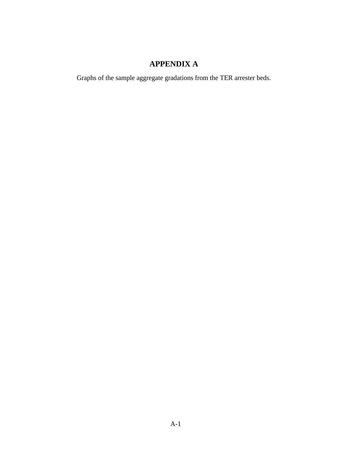# **APPENDIX A**

Graphs of the sample aggregate gradations from the TER arrester beds.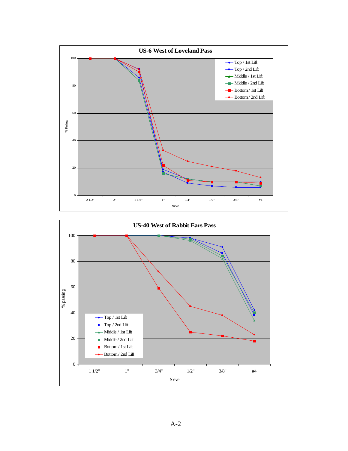

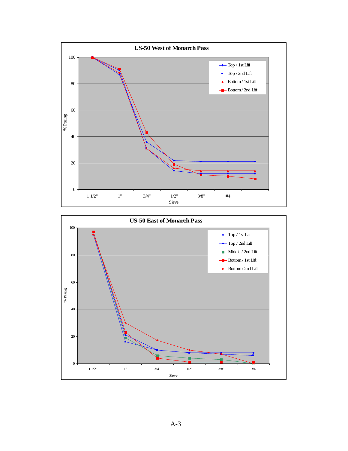

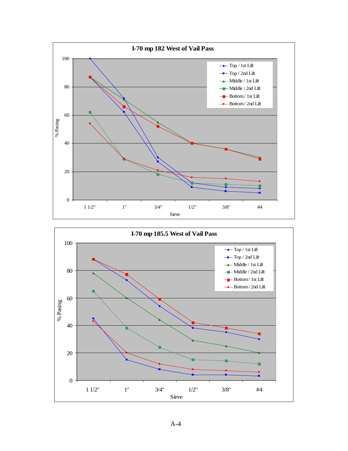

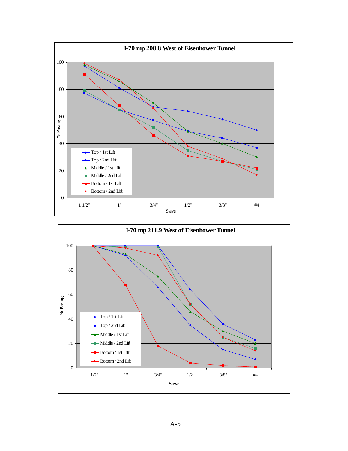

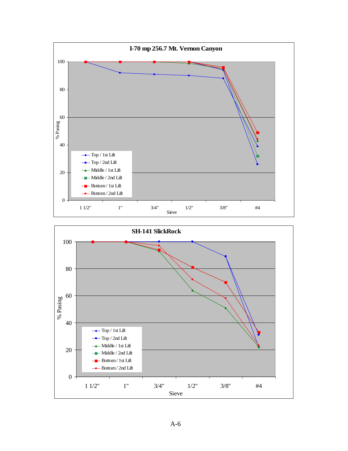

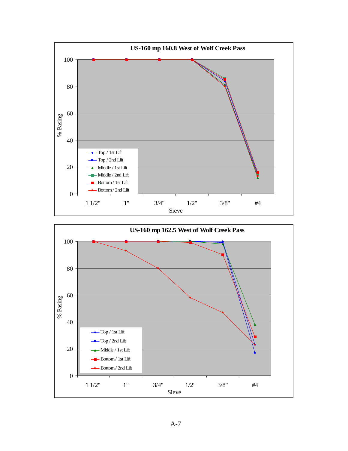

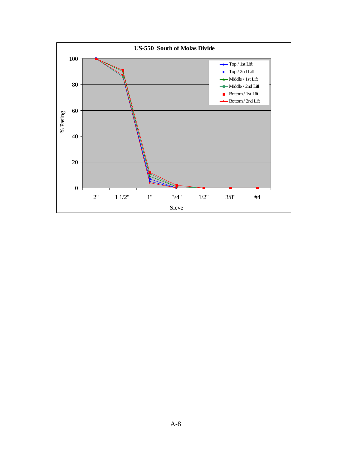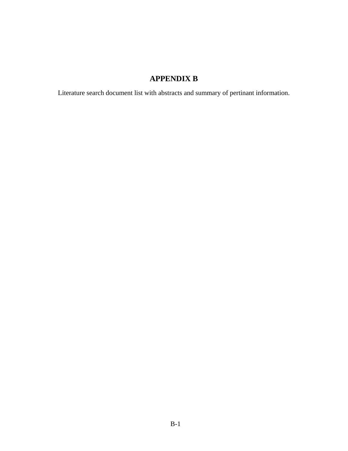# **APPENDIX B**

Literature search document list with abstracts and summary of pertinant information.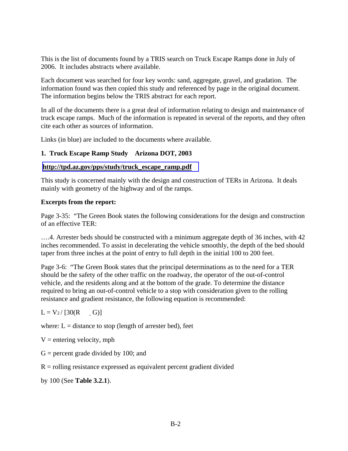This is the list of documents found by a TRIS search on Truck Escape Ramps done in July of 2006. It includes abstracts where available.

Each document was searched for four key words: sand, aggregate, gravel, and gradation. The information found was then copied this study and referenced by page in the original document. The information begins below the TRIS abstract for each report.

In all of the documents there is a great deal of information relating to design and maintenance of truck escape ramps. Much of the information is repeated in several of the reports, and they often cite each other as sources of information.

Links (in blue) are included to the documents where available.

#### **1. Truck Escape Ramp Study Arizona DOT, 2003**

#### **[http://tpd.az.gov/pps/study/truck\\_escape\\_ramp.pdf](http://tpd.az.gov/pps/study/truck_escape_ramp.pdf)**

This study is concerned mainly with the design and construction of TERs in Arizona. It deals mainly with geometry of the highway and of the ramps.

#### **Excerpts from the report:**

Page 3-35: "The Green Book states the following considerations for the design and construction of an effective TER:

….4. Arrester beds should be constructed with a minimum aggregate depth of 36 inches, with 42 inches recommended. To assist in decelerating the vehicle smoothly, the depth of the bed should taper from three inches at the point of entry to full depth in the initial 100 to 200 feet.

Page 3-6: "The Green Book states that the principal determinations as to the need for a TER should be the safety of the other traffic on the roadway, the operator of the out-of-control vehicle, and the residents along and at the bottom of the grade. To determine the distance required to bring an out-of-control vehicle to a stop with consideration given to the rolling resistance and gradient resistance, the following equation is recommended:

 $L = V_2 / [30(R - G)]$ 

where:  $L =$  distance to stop (length of arrester bed), feet

 $V =$  entering velocity, mph

 $G =$  percent grade divided by 100; and

 $R =$  rolling resistance expressed as equivalent percent gradient divided

by 100 (See **Table 3.2.1**).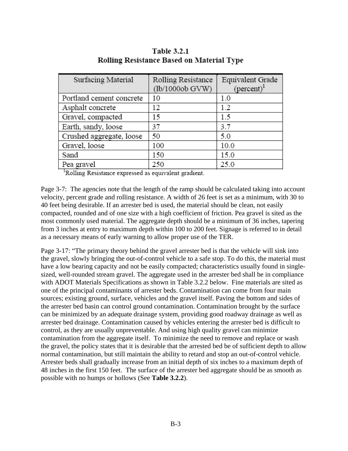| Surfacing Material       | Rolling Resistance | Equivalent Grade     |
|--------------------------|--------------------|----------------------|
|                          | (lb/1000ob GVW)    | $(\text{percent})^1$ |
| Portland cement concrete | 10                 | 1.0                  |
| Asphalt concrete         | 12                 | 1.2                  |
| Gravel, compacted        | 15                 | 1.5                  |
| Earth, sandy, loose      | 37                 | 3.7                  |
| Crushed aggregate, loose | 50                 | 5.0                  |
| Gravel, loose            | 100                | 10.0                 |
| Sand                     | 150                | 15.0                 |
| Pea gravel               | 250                | 25.0                 |
|                          |                    |                      |

**Table 3.2.1** Rolling Resistance Based on Material Type

Rolling Resistance expressed as equivalent gradient.

Page 3-7: The agencies note that the length of the ramp should be calculated taking into account velocity, percent grade and rolling resistance. A width of 26 feet is set as a minimum, with 30 to 40 feet being desirable. If an arrester bed is used, the material should be clean, not easily compacted, rounded and of one size with a high coefficient of friction. Pea gravel is sited as the most commonly used material. The aggregate depth should be a minimum of 36 inches, tapering from 3 inches at entry to maximum depth within 100 to 200 feet. Signage is referred to in detail as a necessary means of early warning to allow proper use of the TER.

Page 3-17: "The primary theory behind the gravel arrester bed is that the vehicle will sink into the gravel, slowly bringing the out-of-control vehicle to a safe stop. To do this, the material must have a low bearing capacity and not be easily compacted; characteristics usually found in singlesized, well-rounded stream gravel. The aggregate used in the arrester bed shall be in compliance with ADOT Materials Specifications as shown in Table 3.2.2 below. Fine materials are sited as one of the principal contaminants of arrester beds. Contamination can come from four main sources; existing ground, surface, vehicles and the gravel itself. Paving the bottom and sides of the arrester bed basin can control ground contamination. Contamination brought by the surface can be minimized by an adequate drainage system, providing good roadway drainage as well as arrester bed drainage. Contamination caused by vehicles entering the arrester bed is difficult to control, as they are usually unpreventable. And using high quality gravel can minimize contamination from the aggregate itself. To minimize the need to remove and replace or wash the gravel, the policy states that it is desirable that the arrested bed be of sufficient depth to allow normal contamination, but still maintain the ability to retard and stop an out-of-control vehicle. Arrester beds shall gradually increase from an initial depth of six inches to a maximum depth of 48 inches in the first 150 feet. The surface of the arrester bed aggregate should be as smooth as possible with no humps or hollows (See **Table 3.2.2**).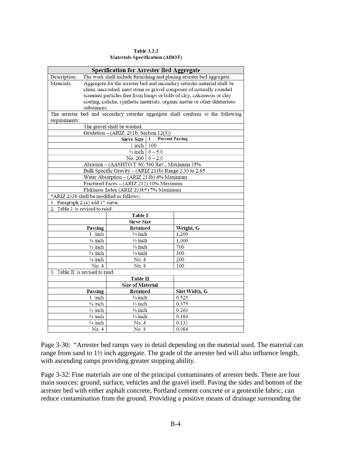#### **Table 3.2.2 Materials Specification (ADOT)**

|                                          | Specification for Arrester Bed Aggregate               |                              |                                                                                  |  |  |  |
|------------------------------------------|--------------------------------------------------------|------------------------------|----------------------------------------------------------------------------------|--|--|--|
| Description:                             |                                                        |                              | The work shall include furnishing and placing arrester bed aggregate.            |  |  |  |
| Materials:                               |                                                        |                              | Aggregate for the arrester bed and secondary retarder material shall be          |  |  |  |
|                                          |                                                        |                              | clean, uncrushed, inert stone or gravel composed of naturally rounded            |  |  |  |
|                                          |                                                        |                              | screened particles free from lumps or balls of clay, calcareous or clay          |  |  |  |
|                                          |                                                        |                              | coating, caliche, synthetic materials, organic matter or other deleterious       |  |  |  |
| substances.                              |                                                        |                              |                                                                                  |  |  |  |
| requirements:                            |                                                        |                              | The arrester bed and secondary retarder aggregate shall conform to the following |  |  |  |
|                                          | The gravel shall be washed.                            |                              |                                                                                  |  |  |  |
|                                          | Gradation - (ARIZ. 201b, Section 12(3))                |                              |                                                                                  |  |  |  |
|                                          | Sieve Size   1                                         | <b>Percent Passing</b>       |                                                                                  |  |  |  |
|                                          | 1 inch   100                                           |                              |                                                                                  |  |  |  |
|                                          |                                                        | $\frac{1}{2}$ inch   0 - 5.0 |                                                                                  |  |  |  |
|                                          | No. 200   $0 - 2.0$                                    |                              |                                                                                  |  |  |  |
|                                          | Abrasion - (AASHTO T 96) 500 Rev., Maximum 35%         |                              |                                                                                  |  |  |  |
|                                          | Bulk Specific Gravity - (ARIZ 211b) Range 2.30 to 2.85 |                              |                                                                                  |  |  |  |
|                                          | Water Absorption - (ARIZ 211b) 4% Maximum              |                              |                                                                                  |  |  |  |
|                                          | Fractured Faces - (ARIZ 212) 10% Maximum               |                              |                                                                                  |  |  |  |
|                                          | Flakiness Index (ARIZ 233b*) 7% Maximum                |                              |                                                                                  |  |  |  |
| *ARIZ 233b shall be modified as follows: |                                                        |                              |                                                                                  |  |  |  |
| 1. Paragraph 2 (c) add 1" sieve.         |                                                        |                              |                                                                                  |  |  |  |
| 2. Table I: is revised to read:          |                                                        |                              |                                                                                  |  |  |  |
|                                          | Table I                                                |                              |                                                                                  |  |  |  |
|                                          | <b>Sieve Size</b>                                      |                              |                                                                                  |  |  |  |
| Passing                                  | Retained                                               |                              | Weight, G                                                                        |  |  |  |
| $\overline{1}$ inch                      | $\frac{3}{4}$ inch                                     |                              | 1,200                                                                            |  |  |  |
| ¾ inch                                   | $\frac{1}{2}$ inch                                     |                              | 1,000                                                                            |  |  |  |
| $\frac{1}{2}$ inch                       | % inch                                                 |                              | 700                                                                              |  |  |  |
| ¾ inch                                   | $\frac{1}{4}$ inch                                     |                              | 300                                                                              |  |  |  |
| ¼ inch                                   | No. 4                                                  |                              | 200                                                                              |  |  |  |
| No. 4                                    | No. 8                                                  |                              | 100                                                                              |  |  |  |
| 3. Table II: is revised to read:         |                                                        |                              |                                                                                  |  |  |  |
|                                          | <b>Table II</b>                                        |                              |                                                                                  |  |  |  |
| <b>Size of Material</b>                  |                                                        |                              |                                                                                  |  |  |  |
| Passing                                  | Retained                                               |                              | Slot Width, G                                                                    |  |  |  |
| 1 inch                                   | $\frac{3}{4}$ inch                                     |                              | 0.525                                                                            |  |  |  |
| $\frac{3}{4}$ inch                       | $\frac{1}{2}$ inch                                     |                              | 0.375                                                                            |  |  |  |
| $\frac{1}{2}$ inch                       | % inch                                                 |                              | 0.263                                                                            |  |  |  |
| ¾ inch                                   | $\frac{1}{4}$ inch                                     |                              | 0.184                                                                            |  |  |  |
| ¼ inch                                   | No. 4                                                  |                              | 0.131                                                                            |  |  |  |
| $\overline{N}$ o. 4                      | No. 8                                                  |                              | 0.084                                                                            |  |  |  |

Page 3-30: "Arrester bed ramps vary in detail depending on the material used. The material can range from sand to 1½ inch aggregate. The grade of the arrester bed will also influence length, with ascending ramps providing greater stopping ability.

Page 3-32: Fine materials are one of the principal contaminants of arrester beds. There are four main sources: ground, surface, vehicles and the gravel itself. Paving the sides and bottom of the arrester bed with either asphalt concrete, Portland cement concrete or a geotextile fabric, can reduce contamination from the ground. Providing a positive means of drainage surrounding the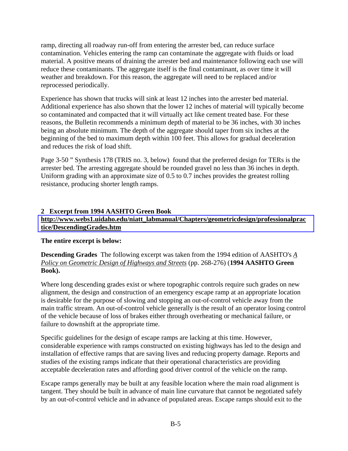ramp, directing all roadway run-off from entering the arrester bed, can reduce surface contamination. Vehicles entering the ramp can contaminate the aggregate with fluids or load material. A positive means of draining the arrester bed and maintenance following each use will reduce these contaminants. The aggregate itself is the final contaminant, as over time it will weather and breakdown. For this reason, the aggregate will need to be replaced and/or reprocessed periodically.

Experience has shown that trucks will sink at least 12 inches into the arrester bed material. Additional experience has also shown that the lower 12 inches of material will typically become so contaminated and compacted that it will virtually act like cement treated base. For these reasons, the Bulletin recommends a minimum depth of material to be 36 inches, with 30 inches being an absolute minimum. The depth of the aggregate should taper from six inches at the beginning of the bed to maximum depth within 100 feet. This allows for gradual deceleration and reduces the risk of load shift.

Page 3-50 " Synthesis 178 (TRIS no. 3, below) found that the preferred design for TERs is the arrester bed. The arresting aggregate should be rounded gravel no less than 36 inches in depth. Uniform grading with an approximate size of 0.5 to 0.7 inches provides the greatest rolling resistance, producing shorter length ramps.

### **2 Excerpt from 1994 AASHTO Green Book [http://www.webs1.uidaho.edu/niatt\\_labmanual/Chapters/geometricdesign/professionalprac](http://www.webs1.uidaho.edu/niatt_labmanual/Chapters/geometricdesign/professionalpractice/DescendingGrades.htm) tice/DescendingGrades.htm**

# **The entire excerpt is below:**

**Descending Grades** The following excerpt was taken from the 1994 edition of AASHTO's *A Policy on Geometric Design of Highways and Streets* (pp. 268-276) (**1994 AASHTO Green Book).** 

Where long descending grades exist or where topographic controls require such grades on new alignment, the design and construction of an emergency escape ramp at an appropriate location is desirable for the purpose of slowing and stopping an out-of-control vehicle away from the main traffic stream. An out-of-control vehicle generally is the result of an operator losing control of the vehicle because of loss of brakes either through overheating or mechanical failure, or failure to downshift at the appropriate time.

Specific guidelines for the design of escape ramps are lacking at this time. However, considerable experience with ramps constructed on existing highways has led to the design and installation of effective ramps that are saving lives and reducing property damage. Reports and studies of the existing ramps indicate that their operational characteristics are providing acceptable deceleration rates and affording good driver control of the vehicle on the ramp.

Escape ramps generally may be built at any feasible location where the main road alignment is tangent. They should be built in advance of main line curvature that cannot be negotiated safely by an out-of-control vehicle and in advance of populated areas. Escape ramps should exit to the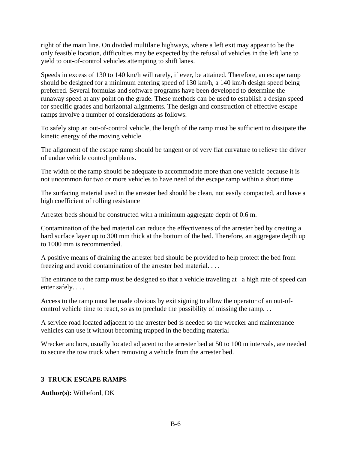right of the main line. On divided multilane highways, where a left exit may appear to be the only feasible location, difficulties may be expected by the refusal of vehicles in the left lane to yield to out-of-control vehicles attempting to shift lanes.

Speeds in excess of 130 to 140 km/h will rarely, if ever, be attained. Therefore, an escape ramp should be designed for a minimum entering speed of 130 km/h, a 140 km/h design speed being preferred. Several formulas and software programs have been developed to determine the runaway speed at any point on the grade. These methods can be used to establish a design speed for specific grades and horizontal alignments. The design and construction of effective escape ramps involve a number of considerations as follows:

To safely stop an out-of-control vehicle, the length of the ramp must be sufficient to dissipate the kinetic energy of the moving vehicle.

The alignment of the escape ramp should be tangent or of very flat curvature to relieve the driver of undue vehicle control problems.

The width of the ramp should be adequate to accommodate more than one vehicle because it is not uncommon for two or more vehicles to have need of the escape ramp within a short time

The surfacing material used in the arrester bed should be clean, not easily compacted, and have a high coefficient of rolling resistance

Arrester beds should be constructed with a minimum aggregate depth of 0.6 m.

Contamination of the bed material can reduce the effectiveness of the arrester bed by creating a hard surface layer up to 300 mm thick at the bottom of the bed. Therefore, an aggregate depth up to 1000 mm is recommended.

A positive means of draining the arrester bed should be provided to help protect the bed from freezing and avoid contamination of the arrester bed material. . . .

The entrance to the ramp must be designed so that a vehicle traveling at a high rate of speed can enter safely. . . .

Access to the ramp must be made obvious by exit signing to allow the operator of an out-ofcontrol vehicle time to react, so as to preclude the possibility of missing the ramp. . .

A service road located adjacent to the arrester bed is needed so the wrecker and maintenance vehicles can use it without becoming trapped in the bedding material

Wrecker anchors, usually located adjacent to the arrester bed at 50 to 100 m intervals, are needed to secure the tow truck when removing a vehicle from the arrester bed.

# **3 TRUCK ESCAPE RAMPS**

**Author(s):** Witheford, DK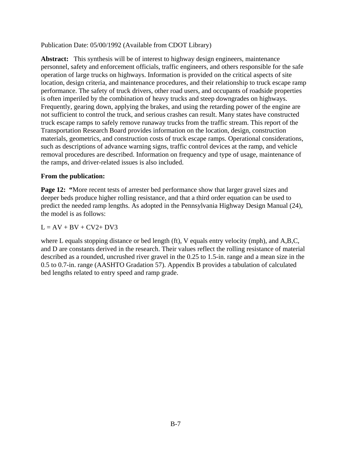Publication Date: 05/00/1992 (Available from CDOT Library)

**Abstract:** This synthesis will be of interest to highway design engineers, maintenance personnel, safety and enforcement officials, traffic engineers, and others responsible for the safe operation of large trucks on highways. Information is provided on the critical aspects of site location, design criteria, and maintenance procedures, and their relationship to truck escape ramp performance. The safety of truck drivers, other road users, and occupants of roadside properties is often imperiled by the combination of heavy trucks and steep downgrades on highways. Frequently, gearing down, applying the brakes, and using the retarding power of the engine are not sufficient to control the truck, and serious crashes can result. Many states have constructed truck escape ramps to safely remove runaway trucks from the traffic stream. This report of the Transportation Research Board provides information on the location, design, construction materials, geometrics, and construction costs of truck escape ramps. Operational considerations, such as descriptions of advance warning signs, traffic control devices at the ramp, and vehicle removal procedures are described. Information on frequency and type of usage, maintenance of the ramps, and driver-related issues is also included.

#### **From the publication:**

**Page 12:** "More recent tests of arrester bed performance show that larger gravel sizes and deeper beds produce higher rolling resistance, and that a third order equation can be used to predict the needed ramp lengths. As adopted in the Pennsylvania Highway Design Manual (24), the model is as follows:

#### $L = AV + BV + CV2 + DV3$

where L equals stopping distance or bed length (ft), V equals entry velocity (mph), and A,B,C, and D are constants derived in the research. Their values reflect the rolling resistance of material described as a rounded, uncrushed river gravel in the 0.25 to 1.5-in. range and a mean size in the 0.5 to 0.7-in. range (AASHTO Gradation 57). Appendix B provides a tabulation of calculated bed lengths related to entry speed and ramp grade.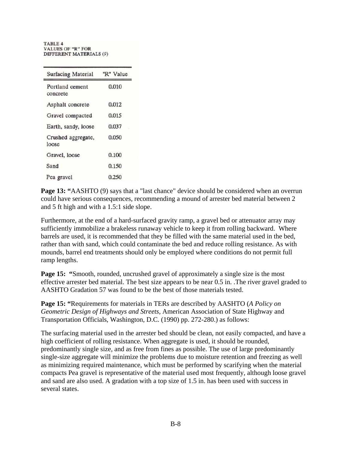**TABLE 4 VALUES OF "R" FOR** DIFFERENT MATERIALS (9)

| Surfacing Material          | "R" Value |
|-----------------------------|-----------|
| Portland cement<br>concrete | 0.010     |
| Asphalt concrete            | 0.012     |
| Gravel compacted            | 0.015     |
| Earth, sandy, loose         | 0.037     |
| Crushed aggregate,<br>loose | 0.050     |
| Gravel, loose               | 0.100     |
| Sand                        | 0.150     |
| Pea gravel                  | 0.250     |

**Page 13: "**AASHTO (9) says that a "last chance" device should be considered when an overrun could have serious consequences, recommending a mound of arrester bed material between 2 and 5 ft high and with a 1.5:1 side slope.

Furthermore, at the end of a hard-surfaced gravity ramp, a gravel bed or attenuator array may sufficiently immobilize a brakeless runaway vehicle to keep it from rolling backward. Where barrels are used, it is recommended that they be filled with the same material used in the bed, rather than with sand, which could contaminate the bed and reduce rolling resistance. As with mounds, barrel end treatments should only be employed where conditions do not permit full ramp lengths.

**Page 15:** "Smooth, rounded, uncrushed gravel of approximately a single size is the most effective arrester bed material. The best size appears to be near 0.5 in. .The river gravel graded to AASHTO Gradation 57 was found to be the best of those materials tested.

**Page 15: "**Requirements for materials in TERs are described by AASHTO (*A Policy on Geometric Design of Highways and Streets,* American Association of State Highway and Transportation Officials, Washington, D.C. (1990) pp. 272-280.) as follows:

The surfacing material used in the arrester bed should be clean, not easily compacted, and have a high coefficient of rolling resistance. When aggregate is used, it should be rounded, predominantly single size, and as free from fines as possible. The use of large predominantly single-size aggregate will minimize the problems due to moisture retention and freezing as well as minimizing required maintenance, which must be performed by scarifying when the material compacts Pea gravel is representative of the material used most frequently, although loose gravel and sand are also used. A gradation with a top size of 1.5 in. has been used with success in several states.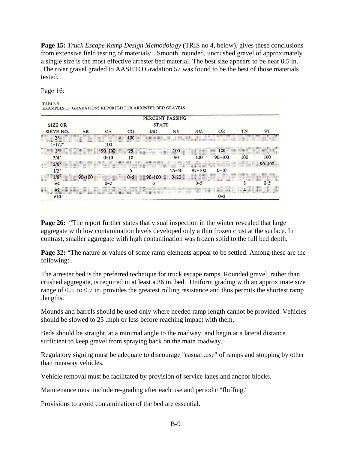**Page 15:** *Truck Escape Ramp Design Methodology* (TRIS no 4, below), gives these conclusions from extensive field testing of materials: . Smooth, rounded, uncrushed gravel of approximately a single size is the most effective arrester bed material. The best size appears to be near 0.5 in. .The river gravel graded to AASHTO Gradation 57 was found to be the best of those materials tested.

Page 16:

|                |            |            |                | PERCENT PASSING |           |            |            |     |            |
|----------------|------------|------------|----------------|-----------------|-----------|------------|------------|-----|------------|
| <b>SIZE OR</b> |            |            |                | <b>STATE</b>    |           |            |            |     |            |
| SIEVE NO.      | AR         | CA         | $_{\rm CO}$    | MD              | ΝV        | <b>NM</b>  | OR.        | TN  | vт         |
| 2"             |            |            | 100            |                 |           |            |            |     |            |
| $1 - 1/2"$     |            | 100        |                |                 |           |            |            |     |            |
| $1^*$          |            | $90 - 100$ | 25             |                 | 100       |            | 100        |     |            |
| 3/4"           |            | $0 - 10$   | 10             |                 | 90        | 100        | $90 - 100$ | 100 | 100        |
| $5/8*$         |            |            |                |                 |           |            |            |     | $90 - 100$ |
| 1/2"           |            |            |                |                 | $25 - 50$ | $97 - 100$ | $0 - 10$   |     |            |
| $3/8*$         | $90 - 100$ |            | 0 <sub>5</sub> | $90 - 100$      | $0 - 20$  |            |            |     |            |
| #4             |            | $0 - 2$    |                |                 |           | $0 - 5$    |            |     | $0 - 5$    |
| #8             |            |            |                |                 |           |            |            |     |            |
| #10            |            |            |                |                 |           |            | $0 - 2$    |     |            |

**Page 26:** "The report further states that visual inspection in the winter revealed that large aggregate with low contamination levels developed only a thin frozen crust at the surface. In contrast, smaller aggregate with high contamination was frozen solid to the full bed depth.

**Page 32:** "The nature or values of some ramp elements appear to be settled. Among these are the following: .

The arrester bed is the preferred technique for truck escape ramps. Rounded gravel, rather than crushed aggregate, is required in at least a 36 in. bed. Uniform grading with an approximate size range of 0.5 to 0.7 in. provides the greatest rolling resistance and thus permits the shortest ramp .lengths.

Mounds and barrels should be used only where needed ramp length cannot be provided. Vehicles should be slowed to 25 .mph or less before reaching impact with them.

Beds should be straight, at a minimal angle to the roadway, and begin at a lateral distance sufficient to keep gravel from spraying back on the main roadway.

Regulatory signing must be adequate to discourage "casual .use" of ramps and stopping by other than runaway vehicles.

Vehicle removal must be facilitated by provision of service lanes and anchor blocks.

Maintenance must include re-grading after each use and periodic "fluffing."

Provisions to avoid contamination of the bed are essential.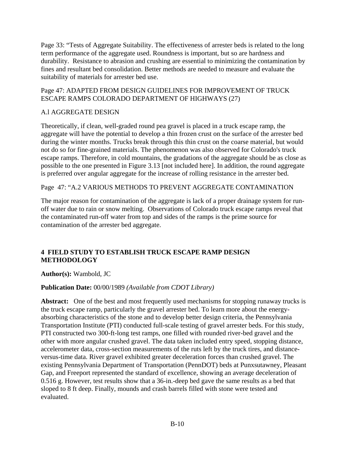Page 33: "Tests of Aggregate Suitability. The effectiveness of arrester beds is related to the long term performance of the aggregate used. Roundness is important, but so are hardness and durability. Resistance to abrasion and crushing are essential to minimizing the contamination by fines and resultant bed consolidation. Better methods are needed to measure and evaluate the suitability of materials for arrester bed use.

#### Page 47: ADAPTED FROM DESIGN GUIDELINES FOR IMPROVEMENT OF TRUCK ESCAPE RAMPS COLORADO DEPARTMENT OF HIGHWAYS (27)

# A.l AGGREGATE DESIGN

Theoretically, if clean, well-graded round pea gravel is placed in a truck escape ramp, the aggregate will have the potential to develop a thin frozen crust on the surface of the arrester bed during the winter months. Trucks break through this thin crust on the coarse material, but would not do so for fine-grained materials. The phenomenon was also observed for Colorado's truck escape ramps. Therefore, in cold mountains, the gradations of the aggregate should be as close as possible to the one presented in Figure 3.13 [not included here]. In addition, the round aggregate is preferred over angular aggregate for the increase of rolling resistance in the arrester bed.

Page 47: "A.2 VARIOUS METHODS TO PREVENT AGGREGATE CONTAMINATION

The major reason for contamination of the aggregate is lack of a proper drainage system for runoff water due to rain or snow melting. Observations of Colorado truck escape ramps reveal that the contaminated run-off water from top and sides of the ramps is the prime source for contamination of the arrester bed aggregate.

# **4 FIELD STUDY TO ESTABLISH TRUCK ESCAPE RAMP DESIGN METHODOLOGY**

**Author(s):** Wambold, JC

# **Publication Date:** 00/00/1989 *(Available from CDOT Library)*

**Abstract:** One of the best and most frequently used mechanisms for stopping runaway trucks is the truck escape ramp, particularly the gravel arrester bed. To learn more about the energyabsorbing characteristics of the stone and to develop better design criteria, the Pennsylvania Transportation Institute (PTI) conducted full-scale testing of gravel arrester beds. For this study, PTI constructed two 300-ft-long test ramps, one filled with rounded river-bed gravel and the other with more angular crushed gravel. The data taken included entry speed, stopping distance, accelerometer data, cross-section measurements of the ruts left by the truck tires, and distanceversus-time data. River gravel exhibited greater deceleration forces than crushed gravel. The existing Pennsylvania Department of Transportation (PennDOT) beds at Punxsutawney, Pleasant Gap, and Freeport represented the standard of excellence, showing an average deceleration of 0.516 g. However, test results show that a 36-in.-deep bed gave the same results as a bed that sloped to 8 ft deep. Finally, mounds and crash barrels filled with stone were tested and evaluated.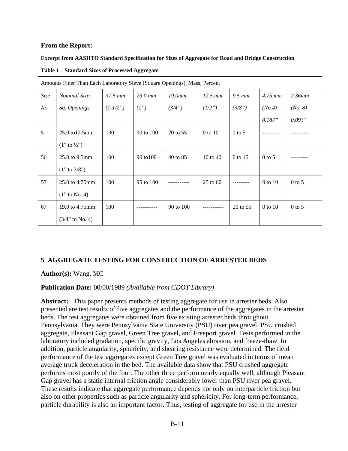#### **From the Report:**

#### **Excerpt from AASHTO Standard Specification for Sizes of Aggregate for Road and Bridge Construction**

| Amounts Finer Than Each Laboratory Sieve (Square Openings), Mass, Percent |                          |                     |           |           |             |                    |             |          |
|---------------------------------------------------------------------------|--------------------------|---------------------|-----------|-----------|-------------|--------------------|-------------|----------|
| Size                                                                      | <i>Nominal Size;</i>     | $37.5 \, \text{mm}$ | $25.0$ mm | 19.0mm    | $12.5$ mm   | $9.5 \, \text{mm}$ | $4.75$ mm   | 2.36mm   |
| No.                                                                       | Sq. Openings             | $(1-1/2")$          | (I'')     | (3/4")    | (1/2")      | (3/8")             | (No.4)      | (No. 8)  |
|                                                                           |                          |                     |           |           |             |                    | 0.187"      | 0.093"   |
| 5                                                                         | 25.0 to 12.5mm           | 100                 | 90 to 100 | 20 to 55  | $0$ to $10$ | $0$ to 5           |             |          |
|                                                                           | $(1''$ to $\frac{1}{2})$ |                     |           |           |             |                    |             |          |
| 56                                                                        | 25.0 to 9.5mm            | 100                 | 90 to 100 | 40 to 85  | 10 to 40    | 0 to 15            | $0$ to 5    |          |
|                                                                           | $(1"$ to 3/8")           |                     |           |           |             |                    |             |          |
| 57                                                                        | 25.0 to 4.75mm           | 100                 | 95 to 100 |           | $25$ to 60  |                    | $0$ to $10$ | $0$ to 5 |
|                                                                           | $(1"$ to No. 4)          |                     |           |           |             |                    |             |          |
| 67                                                                        | 19.0 to 4.75mm           | 100                 |           | 90 to 100 |             | 20 to 55           | $0$ to $10$ | $0$ to 5 |
|                                                                           | $(3/4"$ to No. 4)        |                     |           |           |             |                    |             |          |

**Table 1 – Standard Sizes of Processed Aggregate** 

# **5 AGGREGATE TESTING FOR CONSTRUCTION OF ARRESTER BEDS**

#### **Author(s):** Wang, MC

#### **Publication Date:** 00/00/1989 *(Available from CDOT Library)*

**Abstract:** This paper presents methods of testing aggregate for use in arrester beds. Also presented are test results of five aggregates and the performance of the aggregates in the arrester beds. The test aggregates were obtained from five existing arrester beds throughout Pennsylvania. They were Pennsylvania State University (PSU) river pea gravel, PSU crushed aggregate, Pleasant Gap gravel, Green Tree gravel, and Freeport gravel. Tests performed in the laboratory included gradation, specific gravity, Los Angeles abrasion, and freeze-thaw. In addition, particle angularity, sphericity, and shearing resistance were determined. The field performance of the test aggregates except Green Tree gravel was evaluated in terms of mean average truck deceleration in the bed. The available data show that PSU crushed aggregate performs most poorly of the four. The other three perform nearly equally well, although Pleasant Gap gravel has a static internal friction angle considerably lower than PSU river pea gravel. These results indicate that aggregate performance depends not only on interparticle friction but also on other properties such as particle angularity and sphericity. For long-term performance, particle durability is also an important factor. Thus, testing of aggregate for use in the arrester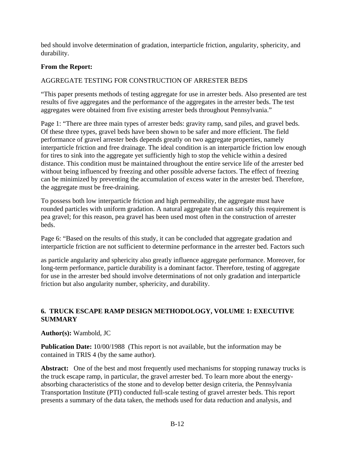bed should involve determination of gradation, interparticle friction, angularity, sphericity, and durability.

#### **From the Report:**

### AGGREGATE TESTING FOR CONSTRUCTION OF ARRESTER BEDS

"This paper presents methods of testing aggregate for use in arrester beds. Also presented are test results of five aggregates and the performance of the aggregates in the arrester beds. The test aggregates were obtained from five existing arrester beds throughout Pennsylvania."

Page 1: "There are three main types of arrester beds: gravity ramp, sand piles, and gravel beds. Of these three types, gravel beds have been shown to be safer and more efficient. The field performance of gravel arrester beds depends greatly on two aggregate properties, namely interparticle friction and free drainage. The ideal condition is an interparticle friction low enough for tires to sink into the aggregate yet sufficiently high to stop the vehicle within a desired distance. This condition must be maintained throughout the entire service life of the arrester bed without being influenced by freezing and other possible adverse factors. The effect of freezing can be minimized by preventing the accumulation of excess water in the arrester bed. Therefore, the aggregate must be free-draining.

To possess both low interparticle friction and high permeability, the aggregate must have rounded particles with uniform gradation. A natural aggregate that can satisfy this requirement is pea gravel; for this reason, pea gravel has been used most often in the construction of arrester beds.

Page 6: "Based on the results of this study, it can be concluded that aggregate gradation and interparticle friction are not sufficient to determine performance in the arrester bed. Factors such

as particle angularity and sphericity also greatly influence aggregate performance. Moreover, for long-term performance, particle durability is a dominant factor. Therefore, testing of aggregate for use in the arrester bed should involve determinations of not only gradation and interparticle friction but also angularity number, sphericity, and durability.

### **6. TRUCK ESCAPE RAMP DESIGN METHODOLOGY, VOLUME 1: EXECUTIVE SUMMARY**

#### **Author(s):** Wambold, JC

**Publication Date:** 10/00/1988 (This report is not available, but the information may be contained in TRIS 4 (by the same author).

Abstract: One of the best and most frequently used mechanisms for stopping runaway trucks is the truck escape ramp, in particular, the gravel arrester bed. To learn more about the energyabsorbing characteristics of the stone and to develop better design criteria, the Pennsylvania Transportation Institute (PTI) conducted full-scale testing of gravel arrester beds. This report presents a summary of the data taken, the methods used for data reduction and analysis, and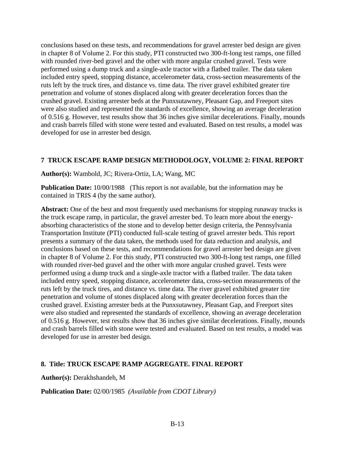conclusions based on these tests, and recommendations for gravel arrester bed design are given in chapter 8 of Volume 2. For this study, PTI constructed two 300-ft-long test ramps, one filled with rounded river-bed gravel and the other with more angular crushed gravel. Tests were performed using a dump truck and a single-axle tractor with a flatbed trailer. The data taken included entry speed, stopping distance, accelerometer data, cross-section measurements of the ruts left by the truck tires, and distance vs. time data. The river gravel exhibited greater tire penetration and volume of stones displaced along with greater deceleration forces than the crushed gravel. Existing arrester beds at the Punxsutawney, Pleasant Gap, and Freeport sites were also studied and represented the standards of excellence, showing an average deceleration of 0.516 g. However, test results show that 36 inches give similar decelerations. Finally, mounds and crash barrels filled with stone were tested and evaluated. Based on test results, a model was developed for use in arrester bed design.

#### **7 TRUCK ESCAPE RAMP DESIGN METHODOLOGY, VOLUME 2: FINAL REPORT**

#### **Author(s):** Wambold, JC; Rivera-Ortiz, LA; Wang, MC

**Publication Date:** 10/00/1988 (This report is not available, but the information may be contained in TRIS 4 (by the same author).

**Abstract:** One of the best and most frequently used mechanisms for stopping runaway trucks is the truck escape ramp, in particular, the gravel arrester bed. To learn more about the energyabsorbing characteristics of the stone and to develop better design criteria, the Pennsylvania Transportation Institute (PTI) conducted full-scale testing of gravel arrester beds. This report presents a summary of the data taken, the methods used for data reduction and analysis, and conclusions based on these tests, and recommendations for gravel arrester bed design are given in chapter 8 of Volume 2. For this study, PTI constructed two 300-ft-long test ramps, one filled with rounded river-bed gravel and the other with more angular crushed gravel. Tests were performed using a dump truck and a single-axle tractor with a flatbed trailer. The data taken included entry speed, stopping distance, accelerometer data, cross-section measurements of the ruts left by the truck tires, and distance vs. time data. The river gravel exhibited greater tire penetration and volume of stones displaced along with greater deceleration forces than the crushed gravel. Existing arrester beds at the Punxsutawney, Pleasant Gap, and Freeport sites were also studied and represented the standards of excellence, showing an average deceleration of 0.516 g. However, test results show that 36 inches give similar decelerations. Finally, mounds and crash barrels filled with stone were tested and evaluated. Based on test results, a model was developed for use in arrester bed design.

#### **8. Title: TRUCK ESCAPE RAMP AGGREGATE. FINAL REPORT**

**Author(s):** Derakhshandeh, M

**Publication Date:** 02/00/1985 *(Available from CDOT Library)*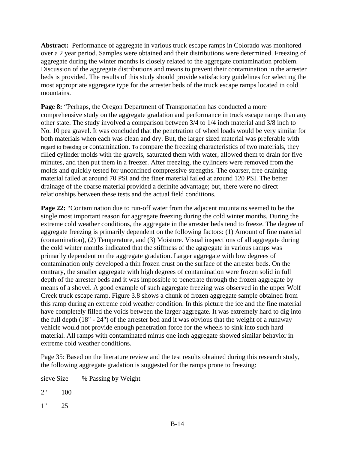**Abstract:** Performance of aggregate in various truck escape ramps in Colorado was monitored over a 2 year period. Samples were obtained and their distributions were determined. Freezing of aggregate during the winter months is closely related to the aggregate contamination problem. Discussion of the aggregate distributions and means to prevent their contamination in the arrester beds is provided. The results of this study should provide satisfactory guidelines for selecting the most appropriate aggregate type for the arrester beds of the truck escape ramps located in cold mountains.

**Page 8:** "Perhaps, the Oregon Department of Transportation has conducted a more comprehensive study on the aggregate gradation and performance in truck escape ramps than any other state. The study involved a comparison between 3/4 to 1/4 inch material and 3/8 inch to No. 10 pea gravel. It was concluded that the penetration of wheel loads would be very similar for both materials when each was clean and dry. But, the larger sized material was preferable with regard to freezing or contamination. To compare the freezing characteristics of two materials, they filled cylinder molds with the gravels, saturated them with water, allowed them to drain for five minutes, and then put them in a freezer. After freezing, the cylinders were removed from the molds and quickly tested for unconfined compressive strengths. The coarser, free draining material failed at around 70 PSI and the finer material failed at around 120 PSI. The better drainage of the coarse material provided a definite advantage; but, there were no direct relationships between these tests and the actual field conditions.

**Page 22:** "Contamination due to run-off water from the adjacent mountains seemed to be the single most important reason for aggregate freezing during the cold winter months. During the extreme cold weather conditions, the aggregate in the arrester beds tend to freeze. The degree of aggregate freezing is primarily dependent on the following factors: (1) Amount of fine material (contamination), (2) Temperature, and (3) Moisture. Visual inspections of all aggregate during the cold winter months indicated that the stiffness of the aggregate in various ramps was primarily dependent on the aggregate gradation. Larger aggregate with low degrees of contamination only developed a thin frozen crust on the surface of the arrester beds. On the contrary, the smaller aggregate with high degrees of contamination were frozen solid in full depth of the arrester beds and it was impossible to penetrate through the frozen aggregate by means of a shovel. A good example of such aggregate freezing was observed in the upper Wolf Creek truck escape ramp. Figure 3.8 shows a chunk of frozen aggregate sample obtained from this ramp during an extreme cold weather condition. In this picture the ice and the fine material have completely filled the voids between the larger aggregate. It was extremely hard to dig into the full depth (18" - 24") of the arrester bed and it was obvious that the weight of a runaway vehicle would not provide enough penetration force for the wheels to sink into such hard material. All ramps with contaminated minus one inch aggregate showed similar behavior in extreme cold weather conditions.

Page 35: Based on the literature review and the test results obtained during this research study, the following aggregate gradation is suggested for the ramps prone to freezing:

sieve Size % Passing by Weight

2" 100

1" 25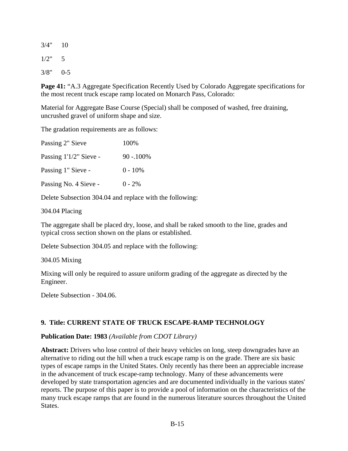$3/4"$  10  $1/2" \t 5$ 

 $3/8"$  0-5

**Page 41:** "A.3 Aggregate Specification Recently Used by Colorado Aggregate specifications for the most recent truck escape ramp located on Monarch Pass, Colorado:

Material for Aggregate Base Course (Special) shall be composed of washed, free draining, uncrushed gravel of uniform shape and size.

The gradation requirements are as follows:

| Passing 2" Sieve       | 100%         |
|------------------------|--------------|
| Passing 1'1/2" Sieve - | $90 - 100\%$ |
| Passing 1" Sieve -     | $0 - 10\%$   |
| Passing No. 4 Sieve -  | $0 - 2\%$    |

Delete Subsection 304.04 and replace with the following:

304.04 Placing

The aggregate shall be placed dry, loose, and shall be raked smooth to the line, grades and typical cross section shown on the plans or established.

Delete Subsection 304.05 and replace with the following:

304.05 Mixing

Mixing will only be required to assure uniform grading of the aggregate as directed by the Engineer.

Delete Subsection - 304.06.

# **9. Title: CURRENT STATE OF TRUCK ESCAPE-RAMP TECHNOLOGY**

#### **Publication Date: 1983** *(Available from CDOT Library)*

Abstract: Drivers who lose control of their heavy vehicles on long, steep downgrades have an alternative to riding out the hill when a truck escape ramp is on the grade. There are six basic types of escape ramps in the United States. Only recently has there been an appreciable increase in the advancement of truck escape-ramp technology. Many of these advancements were developed by state transportation agencies and are documented individually in the various states' reports. The purpose of this paper is to provide a pool of information on the characteristics of the many truck escape ramps that are found in the numerous literature sources throughout the United States.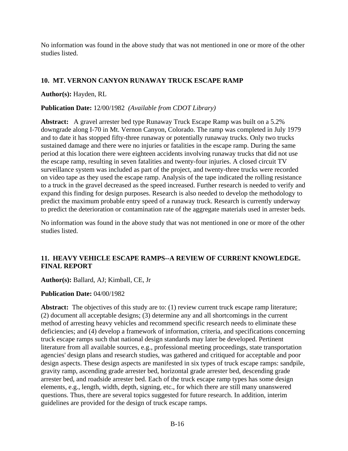No information was found in the above study that was not mentioned in one or more of the other studies listed.

#### **10. MT. VERNON CANYON RUNAWAY TRUCK ESCAPE RAMP**

**Author(s):** Hayden, RL

**Publication Date:** 12/00/1982 *(Available from CDOT Library)*

**Abstract:** A gravel arrester bed type Runaway Truck Escape Ramp was built on a 5.2% downgrade along I-70 in Mt. Vernon Canyon, Colorado. The ramp was completed in July 1979 and to date it has stopped fifty-three runaway or potentially runaway trucks. Only two trucks sustained damage and there were no injuries or fatalities in the escape ramp. During the same period at this location there were eighteen accidents involving runaway trucks that did not use the escape ramp, resulting in seven fatalities and twenty-four injuries. A closed circuit TV surveillance system was included as part of the project, and twenty-three trucks were recorded on video tape as they used the escape ramp. Analysis of the tape indicated the rolling resistance to a truck in the gravel decreased as the speed increased. Further research is needed to verify and expand this finding for design purposes. Research is also needed to develop the methodology to predict the maximum probable entry speed of a runaway truck. Research is currently underway to predict the deterioration or contamination rate of the aggregate materials used in arrester beds.

No information was found in the above study that was not mentioned in one or more of the other studies listed.

# **11. HEAVY VEHICLE ESCAPE RAMPS--A REVIEW OF CURRENT KNOWLEDGE. FINAL REPORT**

**Author(s):** Ballard, AJ; Kimball, CE, Jr

#### **Publication Date:** 04/00/1982

**Abstract:** The objectives of this study are to: (1) review current truck escape ramp literature; (2) document all acceptable designs; (3) determine any and all shortcomings in the current method of arresting heavy vehicles and recommend specific research needs to eliminate these deficiencies; and (4) develop a framework of information, criteria, and specifications concerning truck escape ramps such that national design standards may later be developed. Pertinent literature from all available sources, e.g., professional meeting proceedings, state transportation agencies' design plans and research studies, was gathered and critiqued for acceptable and poor design aspects. These design aspects are manifested in six types of truck escape ramps: sandpile, gravity ramp, ascending grade arrester bed, horizontal grade arrester bed, descending grade arrester bed, and roadside arrester bed. Each of the truck escape ramp types has some design elements, e.g., length, width, depth, signing, etc., for which there are still many unanswered questions. Thus, there are several topics suggested for future research. In addition, interim guidelines are provided for the design of truck escape ramps.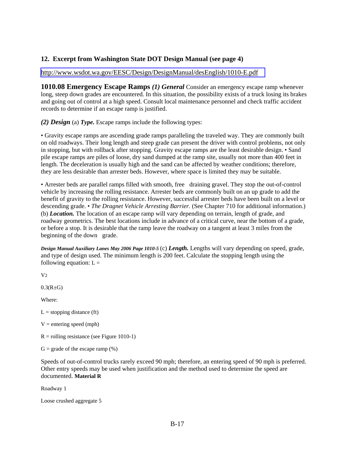#### **12. Excerpt from Washington State DOT Design Manual (see page 4)**

#### <http://www.wsdot.wa.gov/EESC/Design/DesignManual/desEnglish/1010-E.pdf>

**1010.08 Emergency Escape Ramps** *(1) General* Consider an emergency escape ramp whenever long, steep down grades are encountered. In this situation, the possibility exists of a truck losing its brakes and going out of control at a high speed. Consult local maintenance personnel and check traffic accident records to determine if an escape ramp is justified.

*(2) Design* (a) *Type.* Escape ramps include the following types:

• Gravity escape ramps are ascending grade ramps paralleling the traveled way. They are commonly built on old roadways. Their long length and steep grade can present the driver with control problems, not only in stopping, but with rollback after stopping. Gravity escape ramps are the least desirable design. • Sand pile escape ramps are piles of loose, dry sand dumped at the ramp site, usually not more than 400 feet in length. The deceleration is usually high and the sand can be affected by weather conditions; therefore, they are less desirable than arrester beds. However, where space is limited they may be suitable.

• Arrester beds are parallel ramps filled with smooth, free draining gravel. They stop the out-of-control vehicle by increasing the rolling resistance. Arrester beds are commonly built on an up grade to add the benefit of gravity to the rolling resistance. However, successful arrester beds have been built on a level or descending grade. • *The Dragnet Vehicle Arresting Barrier*. (See Chapter 710 for additional information.) (b) *Location.* The location of an escape ramp will vary depending on terrain, length of grade, and roadway geometrics. The best locations include in advance of a critical curve, near the bottom of a grade, or before a stop. It is desirable that the ramp leave the roadway on a tangent at least 3 miles from the beginning of the down grade.

*Design Manual Auxiliary Lanes May 2006 Page 1010-5* (c) *Length.* Lengths will vary depending on speed, grade, and type of design used. The minimum length is 200 feet. Calculate the stopping length using the following equation:  $L =$ 

 $V<sub>2</sub>$ 

 $0.3(R \pm G)$ 

Where:

 $L =$  stopping distance (ft)

 $V =$  entering speed (mph)

 $R =$  rolling resistance (see Figure 1010-1)

 $G =$  grade of the escape ramp  $(\%)$ 

Speeds of out-of-control trucks rarely exceed 90 mph; therefore, an entering speed of 90 mph is preferred. Other entry speeds may be used when justification and the method used to determine the speed are documented. **Material R** 

Roadway 1

Loose crushed aggregate 5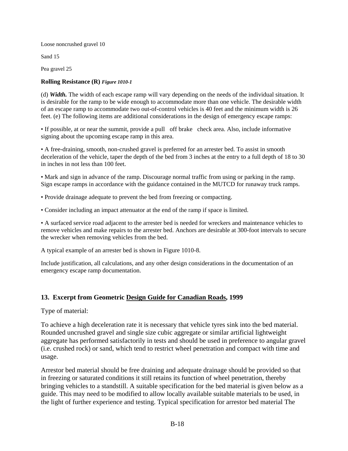Loose noncrushed gravel 10

Sand 15

Pea gravel 25

#### **Rolling Resistance (R)** *Figure 1010-1*

(d) *Width.* The width of each escape ramp will vary depending on the needs of the individual situation. It is desirable for the ramp to be wide enough to accommodate more than one vehicle. The desirable width of an escape ramp to accommodate two out-of-control vehicles is 40 feet and the minimum width is 26 feet. (e) The following items are additional considerations in the design of emergency escape ramps:

• If possible, at or near the summit, provide a pull off brake check area. Also, include informative signing about the upcoming escape ramp in this area.

• A free-draining, smooth, non-crushed gravel is preferred for an arrester bed. To assist in smooth deceleration of the vehicle, taper the depth of the bed from 3 inches at the entry to a full depth of 18 to 30 in inches in not less than 100 feet.

• Mark and sign in advance of the ramp. Discourage normal traffic from using or parking in the ramp. Sign escape ramps in accordance with the guidance contained in the MUTCD for runaway truck ramps.

• Provide drainage adequate to prevent the bed from freezing or compacting.

• Consider including an impact attenuator at the end of the ramp if space is limited.

• A surfaced service road adjacent to the arrester bed is needed for wreckers and maintenance vehicles to remove vehicles and make repairs to the arrester bed. Anchors are desirable at 300-foot intervals to secure the wrecker when removing vehicles from the bed.

A typical example of an arrester bed is shown in Figure 1010-8.

Include justification, all calculations, and any other design considerations in the documentation of an emergency escape ramp documentation.

#### **13. Excerpt from Geometric Design Guide for Canadian Roads, 1999**

Type of material:

To achieve a high deceleration rate it is necessary that vehicle tyres sink into the bed material. Rounded uncrushed gravel and single size cubic aggregate or similar artificial lightweight aggregate has performed satisfactorily in tests and should be used in preference to angular gravel (i.e. crushed rock) or sand, which tend to restrict wheel penetration and compact with time and usage.

Arrestor bed material should be free draining and adequate drainage should be provided so that in freezing or saturated conditions it still retains its function of wheel penetration, thereby bringing vehicles to a standstill. A suitable specification for the bed material is given below as a guide. This may need to be modified to allow locally available suitable materials to be used, in the light of further experience and testing. Typical specification for arrestor bed material The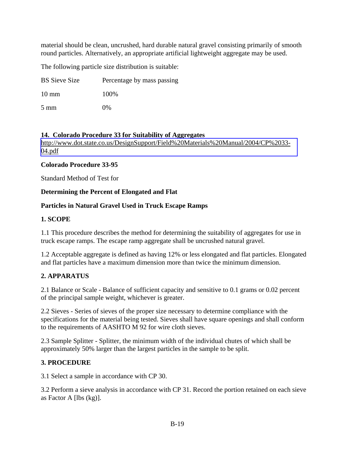material should be clean, uncrushed, hard durable natural gravel consisting primarily of smooth round particles. Alternatively, an appropriate artificial lightweight aggregate may be used.

The following particle size distribution is suitable:

BS Sieve Size Percentage by mass passing

10 mm 100%

5 mm 0%

#### **14. Colorado Procedure 33 for Suitability of Aggregates**

[http://www.dot.state.co.us/DesignSupport/Field%20Materials%20Manual/2004/CP%2033-](http://www.dot.state.co.us/DesignSupport/Field%20Materials%20Manual/2004/CP%2033-04.pdf) [04.pdf](http://www.dot.state.co.us/DesignSupport/Field%20Materials%20Manual/2004/CP%2033-04.pdf)

#### **Colorado Procedure 33-95**

Standard Method of Test for

#### **Determining the Percent of Elongated and Flat**

#### **Particles in Natural Gravel Used in Truck Escape Ramps**

#### **1. SCOPE**

1.1 This procedure describes the method for determining the suitability of aggregates for use in truck escape ramps. The escape ramp aggregate shall be uncrushed natural gravel.

1.2 Acceptable aggregate is defined as having 12% or less elongated and flat particles. Elongated and flat particles have a maximum dimension more than twice the minimum dimension.

#### **2. APPARATUS**

2.1 Balance or Scale - Balance of sufficient capacity and sensitive to 0.1 grams or 0.02 percent of the principal sample weight, whichever is greater.

2.2 Sieves - Series of sieves of the proper size necessary to determine compliance with the specifications for the material being tested. Sieves shall have square openings and shall conform to the requirements of AASHTO M 92 for wire cloth sieves.

2.3 Sample Splitter - Splitter, the minimum width of the individual chutes of which shall be approximately 50% larger than the largest particles in the sample to be split.

#### **3. PROCEDURE**

3.1 Select a sample in accordance with CP 30.

3.2 Perform a sieve analysis in accordance with CP 31. Record the portion retained on each sieve as Factor A [lbs (kg)].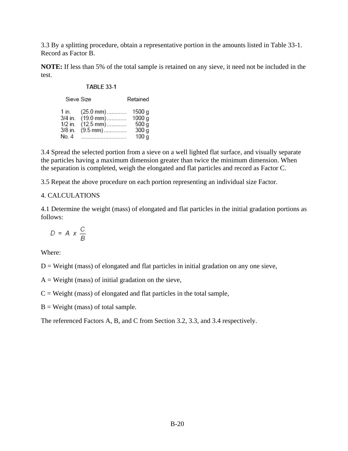3.3 By a splitting procedure, obtain a representative portion in the amounts listed in Table 33-1. Record as Factor B.

**NOTE:** If less than 5% of the total sample is retained on any sieve, it need not be included in the test.

#### **TABLE 33-1**

|           | Sieve Size          | Retained          |
|-----------|---------------------|-------------------|
| 1 in.     | (25.0 mm)           | 1500 g            |
| 3/4 in.   | $(19.0 \text{ mm})$ | 1000 g            |
| $1/2$ in. | (12.5 mm)           | $500\,\mathrm{g}$ |
| 3/8 in.   | (9.5 mm)            | $300\,\mathrm{g}$ |
| No. 4     |                     | 100q              |

3.4 Spread the selected portion from a sieve on a well lighted flat surface, and visually separate the particles having a maximum dimension greater than twice the minimum dimension. When the separation is completed, weigh the elongated and flat particles and record as Factor C.

3.5 Repeat the above procedure on each portion representing an individual size Factor.

#### 4. CALCULATIONS

4.1 Determine the weight (mass) of elongated and flat particles in the initial gradation portions as follows:

$$
D = A \times \frac{C}{B}
$$

Where:

 $D = Weight$  (mass) of elongated and flat particles in initial gradation on any one sieve,

 $A = Weight$  (mass) of initial gradation on the sieve,

 $C = Weight$  (mass) of elongated and flat particles in the total sample,

 $B = Weight (mass) of total sample.$ 

The referenced Factors A, B, and C from Section 3.2, 3.3, and 3.4 respectively.